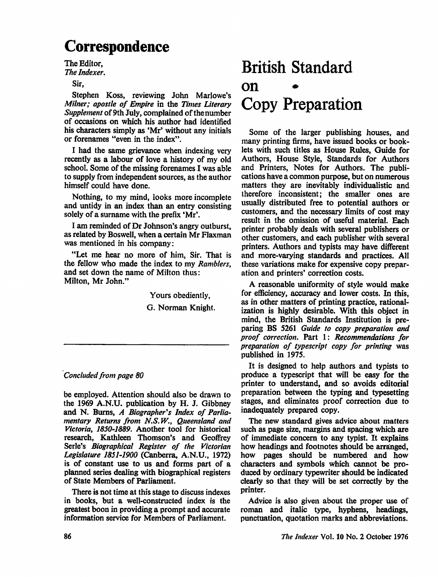## Correspondence

The Editor, The Indexer.

Sir,

Stephen Koss, reviewing John Marlowe's Milner; apostle of Empire in the Times Literary Supplement of 9th July, complained of thenumber of occasions on which his author had identified his characters simply as 'Mr' without any initials or forenames "even in the index".

I had the same grievance when indexing very recently as a labour of love a history of my old school. Some of the missing forenames I was able to supply from independent sources, as the author himself could have done.

Nothing, to my mind, looks more incomplete and untidy in an index than an entry consisting solely of a surname with the prefix 'Mr'.

I am reminded of Dr Johnson's angry outburst, as related by Boswell, when a certain Mr Flaxman was mentioned in his company:

"Let me hear no more of him, Sir. That is the fellow who made the index to my Ramblers, and set down the name of Milton thus: Milton, Mr John."

> Yours obediently, G. Norman Knight.

## Concluded from page 80

be employed. Attention should also be drawn to the 1969 A.N.U. publication by H. J. Gibbney and N. Burns, A Biographer's Index of Parlia mentary Returns from N.S.W., Queensland and Victoria, 1850-1889. Another tool for historical research, Kathleen Thomson's and Geoffrey Serle's Biographical Register of the Victorian Legislature 1851-1900 (Canberra, A.N.U., 1972) is of constant use to us and forms part of a planned series dealing with biographical registers of State Members of Parliament.

There is not time at this stage to discuss indexes in books, but a well-constructed index is the greatest boon in providing a prompt and accurate information service for Members of Parliament.

## British Standard on Copy Preparation

Some of the larger publishing houses, and many printing firms, have issued books or book lets with such titles as House Rules, Guide for Authors, House Style, Standards for Authors and Printers, Notes for Authors. The publi cations have a common purpose, but on numerous matters they are inevitably individualistic and therefore inconsistent; the smaller ones are usually distributed free to potential authors or customers, and the necessary limits of cost may result in the omission of useful material. Each printer probably deals with several publishers or other customers, and each publisher with several printers. Authors and typists may have different and more-varying standards and practices. All these variations make for expensive copy prepar ation and printers' correction costs.

A reasonable uniformity of style would make for efficiency, accuracy and lower costs. In this, as in other matters of printing practice, rational ization is highly desirable. With this object in mind, the British Standards Institution is pre paring BS 5261 Guide to copy preparation and proof correction. Part 1: Recommendations for preparation of typescript copy for printing was published in 1975.

It is designed to help authors and typists to produce a typescript that will be easy for the printer to understand, and so avoids editorial preparation between the typing and typesetting stages, and eliminates proof correction due to inadequately prepared copy.

The new standard gives advice about matters such as page size, margins and spacing which are of immediate concern to any typist. It explains how headings and footnotes should be arranged, how pages should be numbered and how characters and symbols which cannot be pro duced by ordinary typewriter should be indicated clearly so that they will be set correctly by the printer.

Advice is also given about the proper use of roman and italic type, hyphens, headings, punctuation, quotation marks and abbreviations.